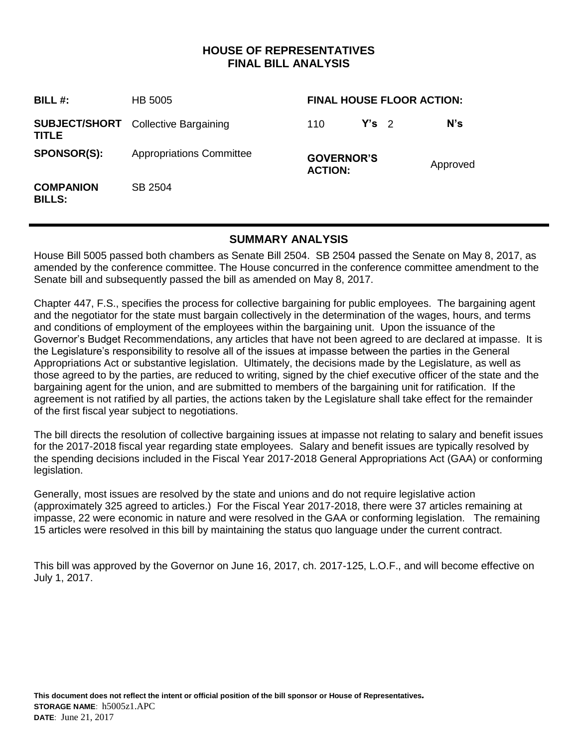### **HOUSE OF REPRESENTATIVES FINAL BILL ANALYSIS**

| BILL#:                            | HB 5005                                    | <b>FINAL HOUSE FLOOR ACTION:</b>    |         |          |
|-----------------------------------|--------------------------------------------|-------------------------------------|---------|----------|
| <b>TITLE</b>                      | <b>SUBJECT/SHORT</b> Collective Bargaining | 110                                 | $Y's$ 2 | $N$ 's   |
| <b>SPONSOR(S):</b>                | <b>Appropriations Committee</b>            | <b>GOVERNOR'S</b><br><b>ACTION:</b> |         | Approved |
| <b>COMPANION</b><br><b>BILLS:</b> | SB 2504                                    |                                     |         |          |

### **SUMMARY ANALYSIS**

House Bill 5005 passed both chambers as Senate Bill 2504. SB 2504 passed the Senate on May 8, 2017, as amended by the conference committee. The House concurred in the conference committee amendment to the Senate bill and subsequently passed the bill as amended on May 8, 2017.

Chapter 447, F.S., specifies the process for collective bargaining for public employees. The bargaining agent and the negotiator for the state must bargain collectively in the determination of the wages, hours, and terms and conditions of employment of the employees within the bargaining unit. Upon the issuance of the Governor's Budget Recommendations, any articles that have not been agreed to are declared at impasse. It is the Legislature's responsibility to resolve all of the issues at impasse between the parties in the General Appropriations Act or substantive legislation. Ultimately, the decisions made by the Legislature, as well as those agreed to by the parties, are reduced to writing, signed by the chief executive officer of the state and the bargaining agent for the union, and are submitted to members of the bargaining unit for ratification. If the agreement is not ratified by all parties, the actions taken by the Legislature shall take effect for the remainder of the first fiscal year subject to negotiations.

The bill directs the resolution of collective bargaining issues at impasse not relating to salary and benefit issues for the 2017-2018 fiscal year regarding state employees. Salary and benefit issues are typically resolved by the spending decisions included in the Fiscal Year 2017-2018 General Appropriations Act (GAA) or conforming legislation.

Generally, most issues are resolved by the state and unions and do not require legislative action (approximately 325 agreed to articles.) For the Fiscal Year 2017-2018, there were 37 articles remaining at impasse, 22 were economic in nature and were resolved in the GAA or conforming legislation. The remaining 15 articles were resolved in this bill by maintaining the status quo language under the current contract.

This bill was approved by the Governor on June 16, 2017, ch. 2017-125, L.O.F., and will become effective on July 1, 2017.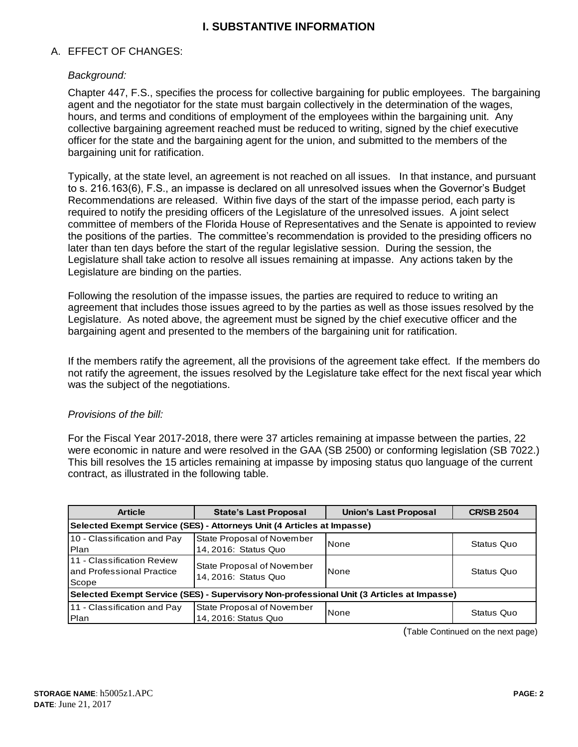## **I. SUBSTANTIVE INFORMATION**

#### A. EFFECT OF CHANGES:

#### *Background:*

Chapter 447, F.S., specifies the process for collective bargaining for public employees. The bargaining agent and the negotiator for the state must bargain collectively in the determination of the wages, hours, and terms and conditions of employment of the employees within the bargaining unit. Any collective bargaining agreement reached must be reduced to writing, signed by the chief executive officer for the state and the bargaining agent for the union, and submitted to the members of the bargaining unit for ratification.

Typically, at the state level, an agreement is not reached on all issues. In that instance, and pursuant to s. 216.163(6), F.S., an impasse is declared on all unresolved issues when the Governor's Budget Recommendations are released. Within five days of the start of the impasse period, each party is required to notify the presiding officers of the Legislature of the unresolved issues. A joint select committee of members of the Florida House of Representatives and the Senate is appointed to review the positions of the parties. The committee's recommendation is provided to the presiding officers no later than ten days before the start of the regular legislative session. During the session, the Legislature shall take action to resolve all issues remaining at impasse. Any actions taken by the Legislature are binding on the parties.

Following the resolution of the impasse issues, the parties are required to reduce to writing an agreement that includes those issues agreed to by the parties as well as those issues resolved by the Legislature. As noted above, the agreement must be signed by the chief executive officer and the bargaining agent and presented to the members of the bargaining unit for ratification.

If the members ratify the agreement, all the provisions of the agreement take effect. If the members do not ratify the agreement, the issues resolved by the Legislature take effect for the next fiscal year which was the subject of the negotiations.

#### *Provisions of the bill:*

For the Fiscal Year 2017-2018, there were 37 articles remaining at impasse between the parties, 22 were economic in nature and were resolved in the GAA (SB 2500) or conforming legislation (SB 7022.) This bill resolves the 15 articles remaining at impasse by imposing status quo language of the current contract, as illustrated in the following table.

| <b>Article</b>                                                                            | <b>State's Last Proposal</b>                       | <b>Union's Last Proposal</b> | <b>CR/SB 2504</b> |  |  |  |  |
|-------------------------------------------------------------------------------------------|----------------------------------------------------|------------------------------|-------------------|--|--|--|--|
| Selected Exempt Service (SES) - Attorneys Unit (4 Articles at Impasse)                    |                                                    |                              |                   |  |  |  |  |
| 10 - Classification and Pay<br><b>IPlan</b>                                               | State Proposal of November<br>14, 2016: Status Quo | None                         | Status Quo        |  |  |  |  |
| <b>111 - Classification Review</b><br>land Professional Practice<br>Scope                 | State Proposal of November<br>14, 2016: Status Quo | <b>None</b>                  | Status Quo        |  |  |  |  |
| Selected Exempt Service (SES) - Supervisory Non-professional Unit (3 Articles at Impasse) |                                                    |                              |                   |  |  |  |  |
| 11 - Classification and Pay<br>Plan                                                       | State Proposal of November<br>14, 2016: Status Quo | None                         | Status Quo        |  |  |  |  |

(Table Continued on the next page)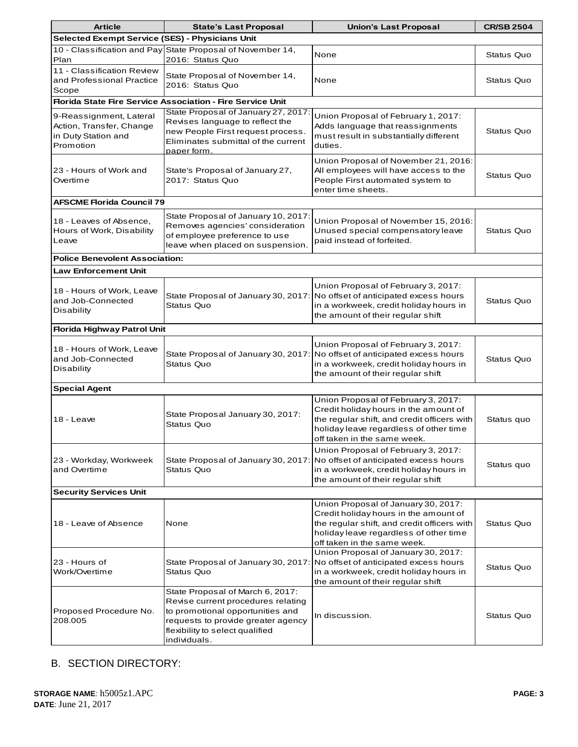| <b>Article</b>                                                                          | <b>State's Last Proposal</b>                                                                                                                                                                        | <b>Union's Last Proposal</b>                                                                                                                                                                         | <b>CR/SB 2504</b> |  |  |  |  |
|-----------------------------------------------------------------------------------------|-----------------------------------------------------------------------------------------------------------------------------------------------------------------------------------------------------|------------------------------------------------------------------------------------------------------------------------------------------------------------------------------------------------------|-------------------|--|--|--|--|
| Selected Exempt Service (SES) - Physicians Unit                                         |                                                                                                                                                                                                     |                                                                                                                                                                                                      |                   |  |  |  |  |
| Plan                                                                                    | 10 - Classification and Pay State Proposal of November 14,<br>2016: Status Quo                                                                                                                      | None                                                                                                                                                                                                 | Status Quo        |  |  |  |  |
| 11 - Classification Review<br>and Professional Practice<br>Scope                        | State Proposal of November 14,<br>2016: Status Quo                                                                                                                                                  | None                                                                                                                                                                                                 | Status Quo        |  |  |  |  |
| <b>Florida State Fire Service Association - Fire Service Unit</b>                       |                                                                                                                                                                                                     |                                                                                                                                                                                                      |                   |  |  |  |  |
| 9-Reassignment, Lateral<br>Action, Transfer, Change<br>in Duty Station and<br>Promotion | State Proposal of January 27, 2017<br>Revises language to reflect the<br>new People First request process.<br>Eliminates submittal of the current<br>paper form.                                    | Union Proposal of February 1, 2017:<br>Adds language that reassignments<br>must result in substantially different<br>duties.                                                                         | Status Quo        |  |  |  |  |
| 23 - Hours of Work and<br>Overtime                                                      | State's Proposal of January 27,<br>2017: Status Quo                                                                                                                                                 | Union Proposal of November 21, 2016:<br>All employees will have access to the<br>People First automated system to<br>enter time sheets.                                                              | Status Quo        |  |  |  |  |
| <b>AFSCME Florida Council 79</b>                                                        |                                                                                                                                                                                                     |                                                                                                                                                                                                      |                   |  |  |  |  |
| 18 - Leaves of Absence,<br>Hours of Work, Disability<br>Leave                           | State Proposal of January 10, 2017<br>Removes agencies' consideration<br>of employee preference to use<br>leave when placed on suspension.                                                          | Union Proposal of November 15, 2016:<br>Unused special compensatory leave<br>paid instead of forfeited.                                                                                              | Status Quo        |  |  |  |  |
| <b>Police Benevolent Association:</b>                                                   |                                                                                                                                                                                                     |                                                                                                                                                                                                      |                   |  |  |  |  |
| <b>Law Enforcement Unit</b>                                                             |                                                                                                                                                                                                     |                                                                                                                                                                                                      |                   |  |  |  |  |
| 18 - Hours of Work, Leave<br>and Job-Connected<br>Disability                            | State Proposal of January 30, 2017:<br>Status Quo                                                                                                                                                   | Union Proposal of February 3, 2017:<br>No offset of anticipated excess hours<br>in a workweek, credit holiday hours in<br>the amount of their regular shift                                          | Status Quo        |  |  |  |  |
| <b>Florida Highway Patrol Unit</b>                                                      |                                                                                                                                                                                                     |                                                                                                                                                                                                      |                   |  |  |  |  |
| 18 - Hours of Work, Leave<br>and Job-Connected<br>Disability                            | <b>Status Quo</b>                                                                                                                                                                                   | Union Proposal of February 3, 2017:<br>State Proposal of January 30, 2017: No offset of anticipated excess hours<br>in a workweek, credit holiday hours in<br>the amount of their regular shift      | Status Quo        |  |  |  |  |
| <b>Special Agent</b>                                                                    |                                                                                                                                                                                                     |                                                                                                                                                                                                      |                   |  |  |  |  |
| 18 - Leave                                                                              | State Proposal January 30, 2017:<br><b>Status Quo</b>                                                                                                                                               | Union Proposal of February 3, 2017:<br>Credit holiday hours in the amount of<br>the regular shift, and credit officers with<br>holiday leave regardless of other time<br>off taken in the same week. | Status quo        |  |  |  |  |
| 23 - Workday, Workweek<br>and Overtime                                                  | State Proposal of January 30, 2017:<br>Status Quo                                                                                                                                                   | Union Proposal of February 3, 2017:<br>No offset of anticipated excess hours<br>in a workweek, credit holiday hours in<br>the amount of their regular shift                                          | Status quo        |  |  |  |  |
| <b>Security Services Unit</b>                                                           |                                                                                                                                                                                                     |                                                                                                                                                                                                      |                   |  |  |  |  |
| 18 - Leave of Absence                                                                   | None                                                                                                                                                                                                | Union Proposal of January 30, 2017:<br>Credit holiday hours in the amount of<br>the regular shift, and credit officers with<br>holiday leave regardless of other time<br>off taken in the same week. | Status Quo        |  |  |  |  |
| 23 - Hours of<br>Work/Overtime                                                          | State Proposal of January 30, 2017:<br>Status Quo                                                                                                                                                   | Union Proposal of January 30, 2017:<br>No offset of anticipated excess hours<br>in a workweek, credit holiday hours in<br>the amount of their regular shift                                          | Status Quo        |  |  |  |  |
| Proposed Procedure No.<br>208.005                                                       | State Proposal of March 6, 2017:<br>Revise current procedures relating<br>to promotional opportunities and<br>requests to provide greater agency<br>flexibility to select qualified<br>individuals. | In discussion.                                                                                                                                                                                       | Status Quo        |  |  |  |  |

# B. SECTION DIRECTORY: